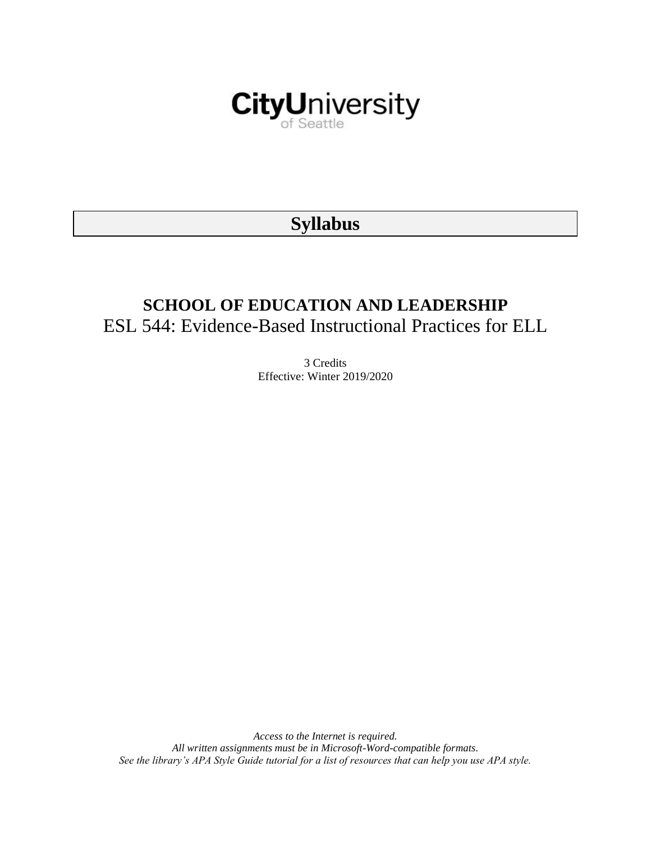

# **Syllabus**

# **SCHOOL OF EDUCATION AND LEADERSHIP** ESL 544: Evidence-Based Instructional Practices for ELL

3 Credits Effective: Winter 2019/2020

*Access to the Internet is required. All written assignments must be in Microsoft-Word-compatible formats. See the library's APA Style Guide tutorial for a list of resources that can help you use APA style.*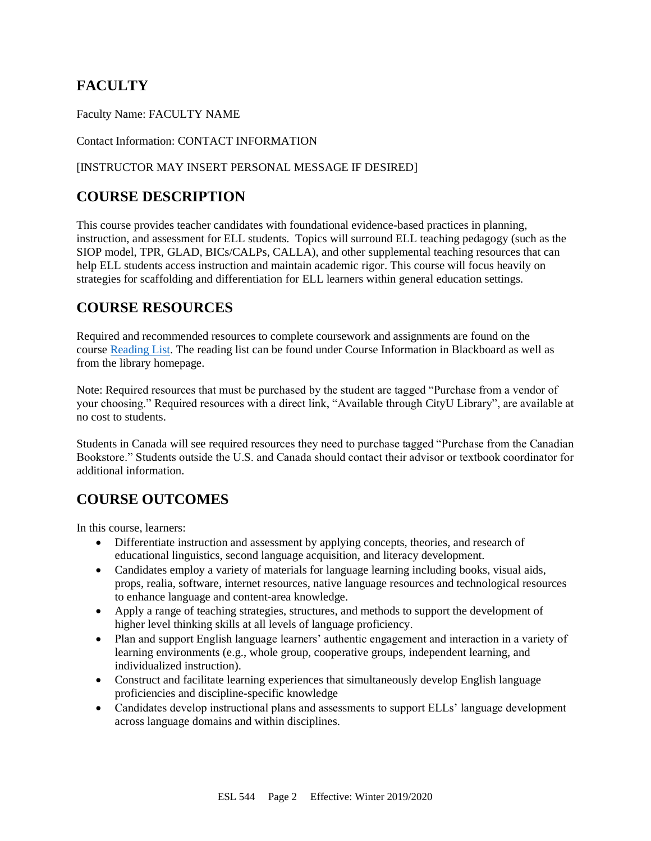# **FACULTY**

Faculty Name: FACULTY NAME

Contact Information: CONTACT INFORMATION

#### [INSTRUCTOR MAY INSERT PERSONAL MESSAGE IF DESIRED]

# **COURSE DESCRIPTION**

This course provides teacher candidates with foundational evidence-based practices in planning, instruction, and assessment for ELL students. Topics will surround ELL teaching pedagogy (such as the SIOP model, TPR, GLAD, BICs/CALPs, CALLA), and other supplemental teaching resources that can help ELL students access instruction and maintain academic rigor. This course will focus heavily on strategies for scaffolding and differentiation for ELL learners within general education settings.

## **COURSE RESOURCES**

Required and recommended resources to complete coursework and assignments are found on the course [Reading List.](https://nam03.safelinks.protection.outlook.com/?url=https%3A%2F%2Fcityu.alma.exlibrisgroup.com%2Fleganto%2Flogin%3Fauth%3DSAML&data=04%7C01%7CMMara%40cityu.edu%7C70673ce0fe0144040eda08d87472e204%7Cb3fa96d9f5154662add763d854e39e63%7C1%7C0%7C637387384066198115%7CUnknown%7CTWFpbGZsb3d8eyJWIjoiMC4wLjAwMDAiLCJQIjoiV2luMzIiLCJBTiI6Ik1haWwiLCJXVCI6Mn0%3D%7C1000&sdata=JbwP%2Fm5Q%2BMgIUWa%2FXceos%2BoiLv0DX%2B%2FL%2BNGNMbX9P8E%3D&reserved=0) The reading list can be found under Course Information in Blackboard as well as from the library homepage.

Note: Required resources that must be purchased by the student are tagged "Purchase from a vendor of your choosing." Required resources with a direct link, "Available through CityU Library", are available at no cost to students.

Students in Canada will see required resources they need to purchase tagged "Purchase from the Canadian Bookstore." Students outside the U.S. and Canada should contact their advisor or textbook coordinator for additional information.

# **COURSE OUTCOMES**

In this course, learners:

- Differentiate instruction and assessment by applying concepts, theories, and research of educational linguistics, second language acquisition, and literacy development.
- Candidates employ a variety of materials for language learning including books, visual aids, props, realia, software, internet resources, native language resources and technological resources to enhance language and content-area knowledge.
- Apply a range of teaching strategies, structures, and methods to support the development of higher level thinking skills at all levels of language proficiency.
- Plan and support English language learners' authentic engagement and interaction in a variety of learning environments (e.g., whole group, cooperative groups, independent learning, and individualized instruction).
- Construct and facilitate learning experiences that simultaneously develop English language proficiencies and discipline-specific knowledge
- Candidates develop instructional plans and assessments to support ELLs' language development across language domains and within disciplines.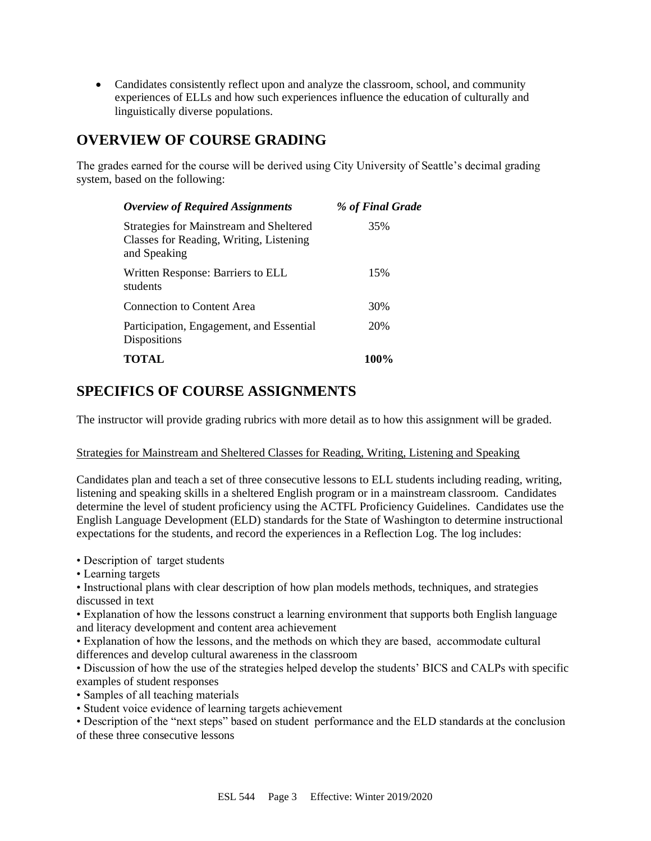• Candidates consistently reflect upon and analyze the classroom, school, and community experiences of ELLs and how such experiences influence the education of culturally and linguistically diverse populations.

# **OVERVIEW OF COURSE GRADING**

The grades earned for the course will be derived using City University of Seattle's decimal grading system, based on the following:

| <b>Overview of Required Assignments</b>                                                            | % of Final Grade |
|----------------------------------------------------------------------------------------------------|------------------|
| Strategies for Mainstream and Sheltered<br>Classes for Reading, Writing, Listening<br>and Speaking | 35%              |
| Written Response: Barriers to ELL<br>students                                                      | 15%              |
| Connection to Content Area                                                                         | 30%              |
| Participation, Engagement, and Essential<br><b>Dispositions</b>                                    | 20%              |
| <b>TOTAL</b>                                                                                       | <b>100%</b>      |

# **SPECIFICS OF COURSE ASSIGNMENTS**

The instructor will provide grading rubrics with more detail as to how this assignment will be graded.

#### Strategies for Mainstream and Sheltered Classes for Reading, Writing, Listening and Speaking

Candidates plan and teach a set of three consecutive lessons to ELL students including reading, writing, listening and speaking skills in a sheltered English program or in a mainstream classroom. Candidates determine the level of student proficiency using the ACTFL Proficiency Guidelines. Candidates use the English Language Development (ELD) standards for the State of Washington to determine instructional expectations for the students, and record the experiences in a Reflection Log. The log includes:

• Description of target students

• Learning targets

• Instructional plans with clear description of how plan models methods, techniques, and strategies discussed in text

• Explanation of how the lessons construct a learning environment that supports both English language and literacy development and content area achievement

• Explanation of how the lessons, and the methods on which they are based, accommodate cultural differences and develop cultural awareness in the classroom

• Discussion of how the use of the strategies helped develop the students' BICS and CALPs with specific examples of student responses

- Samples of all teaching materials
- Student voice evidence of learning targets achievement

• Description of the "next steps" based on student performance and the ELD standards at the conclusion of these three consecutive lessons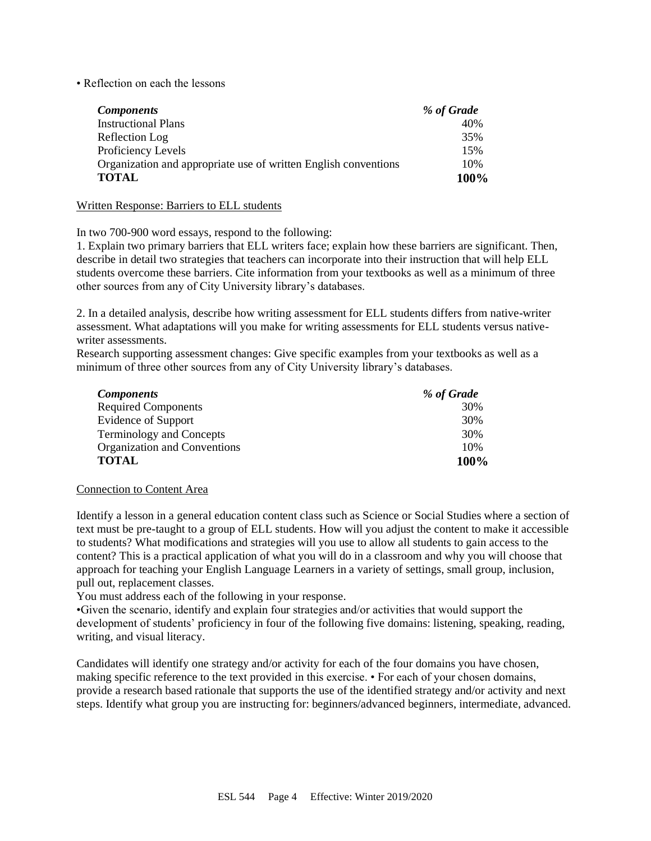• Reflection on each the lessons

| <b>Components</b>                                               | % of Grade |
|-----------------------------------------------------------------|------------|
| <b>Instructional Plans</b>                                      | 40%        |
| Reflection Log                                                  | 35%        |
| Proficiency Levels                                              | 15%        |
| Organization and appropriate use of written English conventions | 10%        |
| <b>TOTAL</b>                                                    | 100%       |

#### Written Response: Barriers to ELL students

In two 700-900 word essays, respond to the following:

1. Explain two primary barriers that ELL writers face; explain how these barriers are significant. Then, describe in detail two strategies that teachers can incorporate into their instruction that will help ELL students overcome these barriers. Cite information from your textbooks as well as a minimum of three other sources from any of City University library's databases.

2. In a detailed analysis, describe how writing assessment for ELL students differs from native-writer assessment. What adaptations will you make for writing assessments for ELL students versus nativewriter assessments.

Research supporting assessment changes: Give specific examples from your textbooks as well as a minimum of three other sources from any of City University library's databases.

| <b>Components</b>               | % of Grade |
|---------------------------------|------------|
| <b>Required Components</b>      | 30%        |
| <b>Evidence of Support</b>      | 30%        |
| <b>Terminology and Concepts</b> | 30%        |
| Organization and Conventions    | 10%        |
| <b>TOTAL</b>                    | 100%       |

#### Connection to Content Area

Identify a lesson in a general education content class such as Science or Social Studies where a section of text must be pre-taught to a group of ELL students. How will you adjust the content to make it accessible to students? What modifications and strategies will you use to allow all students to gain access to the content? This is a practical application of what you will do in a classroom and why you will choose that approach for teaching your English Language Learners in a variety of settings, small group, inclusion, pull out, replacement classes.

You must address each of the following in your response.

•Given the scenario, identify and explain four strategies and/or activities that would support the development of students' proficiency in four of the following five domains: listening, speaking, reading, writing, and visual literacy.

Candidates will identify one strategy and/or activity for each of the four domains you have chosen, making specific reference to the text provided in this exercise. • For each of your chosen domains, provide a research based rationale that supports the use of the identified strategy and/or activity and next steps. Identify what group you are instructing for: beginners/advanced beginners, intermediate, advanced.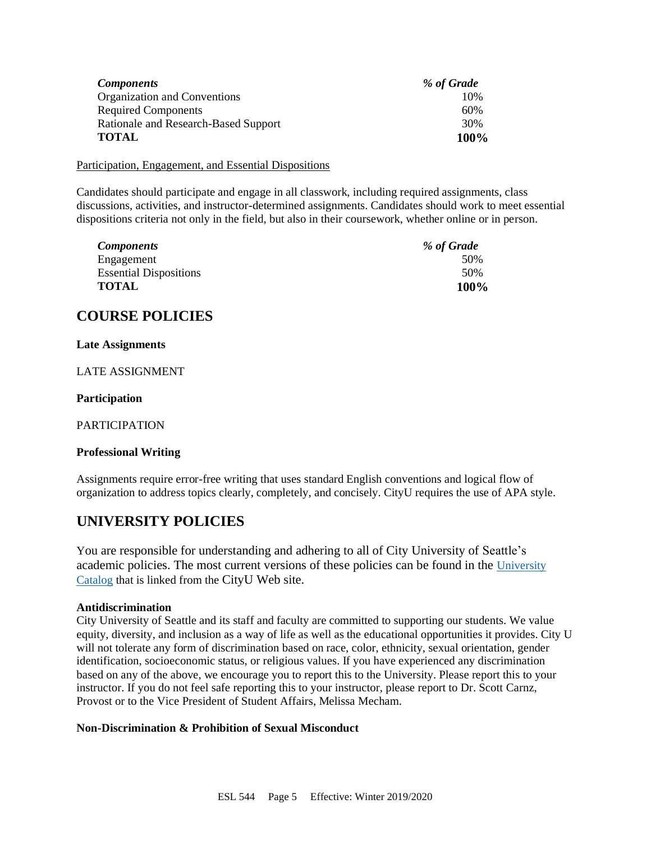| <i>Components</i>                    | % of Grade |
|--------------------------------------|------------|
| Organization and Conventions         | 10%        |
| <b>Required Components</b>           | 60%        |
| Rationale and Research-Based Support | 30%        |
| <b>TOTAL</b>                         | 100%       |

Participation, Engagement, and Essential Dispositions

Candidates should participate and engage in all classwork, including required assignments, class discussions, activities, and instructor-determined assignments. Candidates should work to meet essential dispositions criteria not only in the field, but also in their coursework, whether online or in person.

| <b>Components</b>             | % of Grade |
|-------------------------------|------------|
| Engagement                    | 50%        |
| <b>Essential Dispositions</b> | 50%        |
| <b>TOTAL</b>                  | 100%       |

### **COURSE POLICIES**

#### **Late Assignments**

LATE ASSIGNMENT

#### **Participation**

PARTICIPATION

#### **Professional Writing**

Assignments require error-free writing that uses standard English conventions and logical flow of organization to address topics clearly, completely, and concisely. CityU requires the use of APA style.

# **UNIVERSITY POLICIES**

You are responsible for understanding and adhering to all of City University of Seattle's academic policies. The most current versions of these policies can be found in the University [Catalog](https://www.cityu.edu/catalog/) that is linked from the CityU Web site.

#### **Antidiscrimination**

City University of Seattle and its staff and faculty are committed to supporting our students. We value equity, diversity, and inclusion as a way of life as well as the educational opportunities it provides. City U will not tolerate any form of discrimination based on race, color, ethnicity, sexual orientation, gender identification, socioeconomic status, or religious values. If you have experienced any discrimination based on any of the above, we encourage you to report this to the University. Please report this to your instructor. If you do not feel safe reporting this to your instructor, please report to Dr. Scott Carnz, Provost or to the Vice President of Student Affairs, Melissa Mecham.

#### **Non-Discrimination & Prohibition of Sexual Misconduct**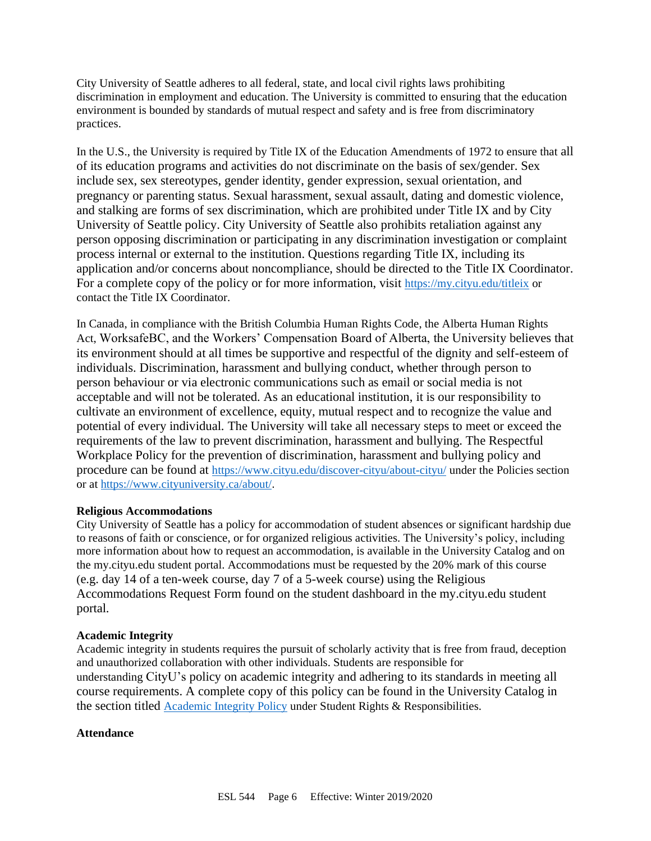City University of Seattle adheres to all federal, state, and local civil rights laws prohibiting discrimination in employment and education. The University is committed to ensuring that the education environment is bounded by standards of mutual respect and safety and is free from discriminatory practices.

In the U.S., the University is required by Title IX of the Education Amendments of 1972 to ensure that all of its education programs and activities do not discriminate on the basis of sex/gender. Sex include sex, sex stereotypes, gender identity, gender expression, sexual orientation, and pregnancy or parenting status. Sexual harassment, sexual assault, dating and domestic violence, and stalking are forms of sex discrimination, which are prohibited under Title IX and by City University of Seattle policy. City University of Seattle also prohibits retaliation against any person opposing discrimination or participating in any discrimination investigation or complaint process internal or external to the institution. Questions regarding Title IX, including its application and/or concerns about noncompliance, should be directed to the Title IX Coordinator. For a complete copy of the policy or for more information, visit <https://my.cityu.edu/titleix> or contact the Title IX Coordinator.

In Canada, in compliance with the British Columbia Human Rights Code, the Alberta Human Rights Act, WorksafeBC, and the Workers' Compensation Board of Alberta, the University believes that its environment should at all times be supportive and respectful of the dignity and self-esteem of individuals. Discrimination, harassment and bullying conduct, whether through person to person behaviour or via electronic communications such as email or social media is not acceptable and will not be tolerated. As an educational institution, it is our responsibility to cultivate an environment of excellence, equity, mutual respect and to recognize the value and potential of every individual. The University will take all necessary steps to meet or exceed the requirements of the law to prevent discrimination, harassment and bullying. The Respectful Workplace Policy for the prevention of discrimination, harassment and bullying policy and procedure can be found at <https://www.cityu.edu/discover-cityu/about-cityu/> under the Policies section or at <https://www.cityuniversity.ca/about/>.

#### **Religious Accommodations**

City University of Seattle has a policy for accommodation of student absences or significant hardship due to reasons of faith or conscience, or for organized religious activities. The University's policy, including more information about how to request an accommodation, is available in the University Catalog and on the my.cityu.edu student portal. Accommodations must be requested by the 20% mark of this course (e.g. day 14 of a ten-week course, day 7 of a 5-week course) using the Religious Accommodations Request Form found on the student dashboard in the my.cityu.edu student portal.

#### **Academic Integrity**

Academic integrity in students requires the pursuit of scholarly activity that is free from fraud, deception and unauthorized collaboration with other individuals. Students are responsible for understanding CityU's policy on academic integrity and adhering to its standards in meeting all course requirements. A complete copy of this policy can be found in the University Catalog in the section titled [Academic Integrity Policy](https://www.cityu.edu/catalog/;) under Student Rights & Responsibilities.

#### **Attendance**